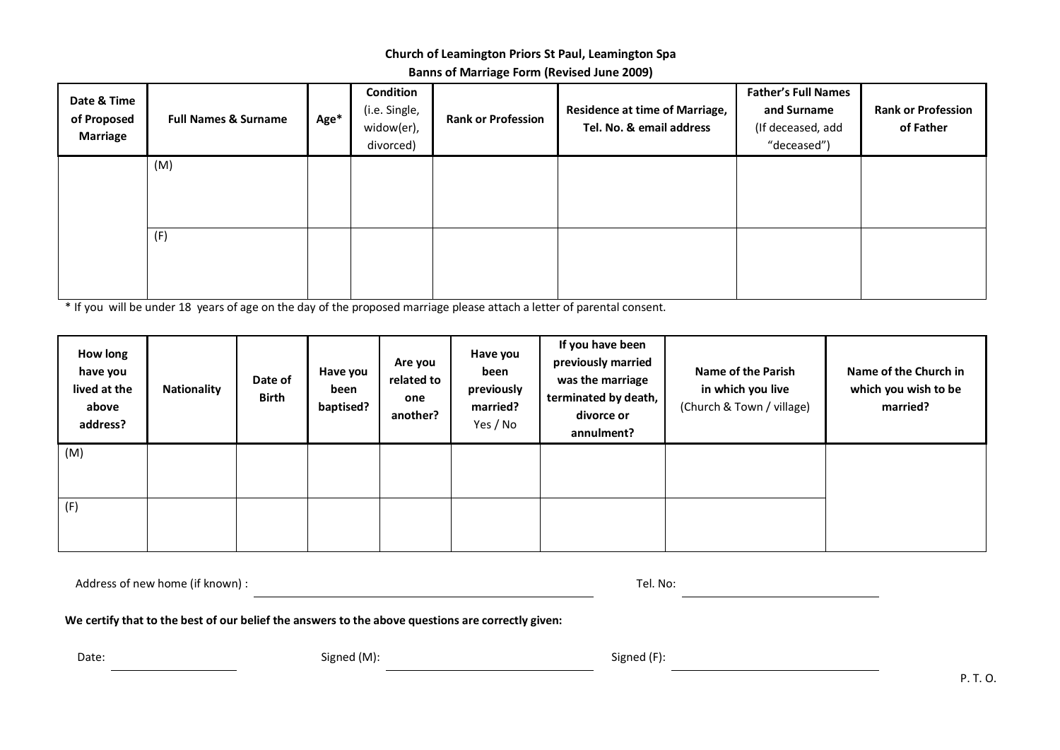## **Church of Leamington Priors St Paul, Leamington Spa**

**Banns of Marriage Form (Revised June 2009)**

| Date & Time<br>of Proposed<br><b>Marriage</b> | <b>Full Names &amp; Surname</b> | Age* | Condition<br>(i.e. Single,<br>widow(er),<br>divorced) | <b>Rank or Profession</b> | <b>Residence at time of Marriage,</b><br>Tel. No. & email address | <b>Father's Full Names</b><br>and Surname<br>(If deceased, add<br>"deceased") | <b>Rank or Profession</b><br>of Father |
|-----------------------------------------------|---------------------------------|------|-------------------------------------------------------|---------------------------|-------------------------------------------------------------------|-------------------------------------------------------------------------------|----------------------------------------|
|                                               | (M)                             |      |                                                       |                           |                                                                   |                                                                               |                                        |
|                                               | (F)                             |      |                                                       |                           |                                                                   |                                                                               |                                        |

\* If you will be under 18 years of age on the day of the proposed marriage please attach a letter of parental consent.

| How long<br>have you<br>lived at the<br>above<br>address? | <b>Nationality</b> | Date of<br><b>Birth</b> | Have you<br>been<br>baptised? | Are you<br>related to<br>one<br>another? | Have you<br>been<br>previously<br>married?<br>Yes / No | If you have been<br>previously married<br>was the marriage<br>terminated by death,<br>divorce or<br>annulment? | <b>Name of the Parish</b><br>in which you live<br>(Church & Town / village) | Name of the Church in<br>which you wish to be<br>married? |
|-----------------------------------------------------------|--------------------|-------------------------|-------------------------------|------------------------------------------|--------------------------------------------------------|----------------------------------------------------------------------------------------------------------------|-----------------------------------------------------------------------------|-----------------------------------------------------------|
| (M)                                                       |                    |                         |                               |                                          |                                                        |                                                                                                                |                                                                             |                                                           |
| (F)                                                       |                    |                         |                               |                                          |                                                        |                                                                                                                |                                                                             |                                                           |

Address of new home (if known) : Tel. No:

**We certify that to the best of our belief the answers to the above questions are correctly given:**

Date: Signed (M): Signed (M): Signed (M): Signed (F):